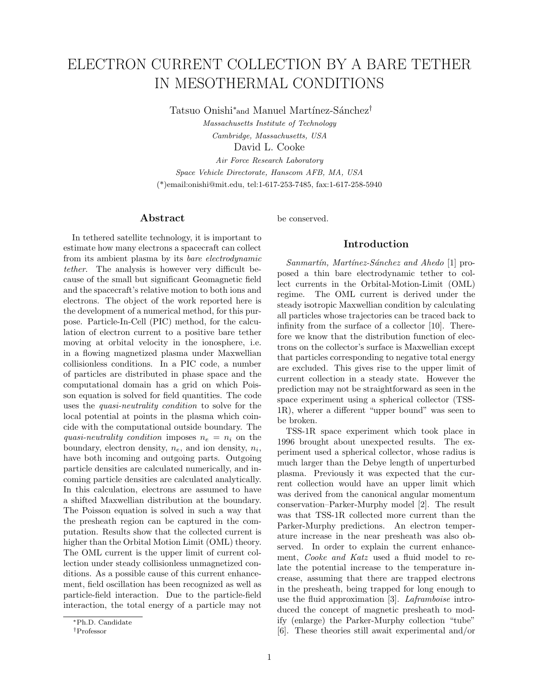# ELECTRON CURRENT COLLECTION BY A BARE TETHER IN MESOTHERMAL CONDITIONS

Tatsuo Onishi<sup>∗</sup>and Manuel Martínez-Sánchez<sup>†</sup>

Massachusetts Institute of Technology

Cambridge, Massachusetts, USA

David L. Cooke

Air Force Research Laboratory Space Vehicle Directorate, Hanscom AFB, MA, USA (\*)email:onishi@mit.edu, tel:1-617-253-7485, fax:1-617-258-5940

## **Abstract**

In tethered satellite technology, it is important to estimate how many electrons a spacecraft can collect from its ambient plasma by its bare electrodynamic tether. The analysis is however very difficult because of the small but significant Geomagnetic field and the spacecraft's relative motion to both ions and electrons. The object of the work reported here is the development of a numerical method, for this purpose. Particle-In-Cell (PIC) method, for the calculation of electron current to a positive bare tether moving at orbital velocity in the ionosphere, i.e. in a flowing magnetized plasma under Maxwellian collisionless conditions. In a PIC code, a number of particles are distributed in phase space and the computational domain has a grid on which Poisson equation is solved for field quantities. The code uses the quasi-neutrality condition to solve for the local potential at points in the plasma which coincide with the computational outside boundary. The quasi-neutrality condition imposes  $n_e = n_i$  on the boundary, electron density,  $n_e$ , and ion density,  $n_i$ , have both incoming and outgoing parts. Outgoing particle densities are calculated numerically, and incoming particle densities are calculated analytically. In this calculation, electrons are assumed to have a shifted Maxwellian distribution at the boundary. The Poisson equation is solved in such a way that the presheath region can be captured in the computation. Results show that the collected current is higher than the Orbital Motion Limit (OML) theory. The OML current is the upper limit of current collection under steady collisionless unmagnetized conditions. As a possible cause of this current enhancement, field oscillation has been recognized as well as particle-field interaction. Due to the particle-field interaction, the total energy of a particle may not

#### be conserved.

## **Introduction**

 $Sannartín$ , Martínez-Sánchez and Ahedo [1] proposed a thin bare electrodynamic tether to collect currents in the Orbital-Motion-Limit (OML) regime. The OML current is derived under the steady isotropic Maxwellian condition by calculating all particles whose trajectories can be traced back to infinity from the surface of a collector [10]. Therefore we know that the distribution function of electrons on the collector's surface is Maxwellian except that particles corresponding to negative total energy are excluded. This gives rise to the upper limit of current collection in a steady state. However the prediction may not be straightforward as seen in the space experiment using a spherical collector (TSS-1R), wherer a different "upper bound" was seen to be broken.

TSS-1R space experiment which took place in 1996 brought about unexpected results. The experiment used a spherical collector, whose radius is much larger than the Debye length of unperturbed plasma. Previously it was expected that the current collection would have an upper limit which was derived from the canonical angular momentum conservation–Parker-Murphy model [2]. The result was that TSS-1R collected more current than the Parker-Murphy predictions. An electron temperature increase in the near presheath was also observed. In order to explain the current enhancement, Cooke and Katz used a fluid model to relate the potential increase to the temperature increase, assuming that there are trapped electrons in the presheath, being trapped for long enough to use the fluid approximation [3]. Laframboise introduced the concept of magnetic presheath to modify (enlarge) the Parker-Murphy collection "tube" [6]. These theories still await experimental and/or

<sup>∗</sup>Ph.D. Candidate

<sup>†</sup>Professor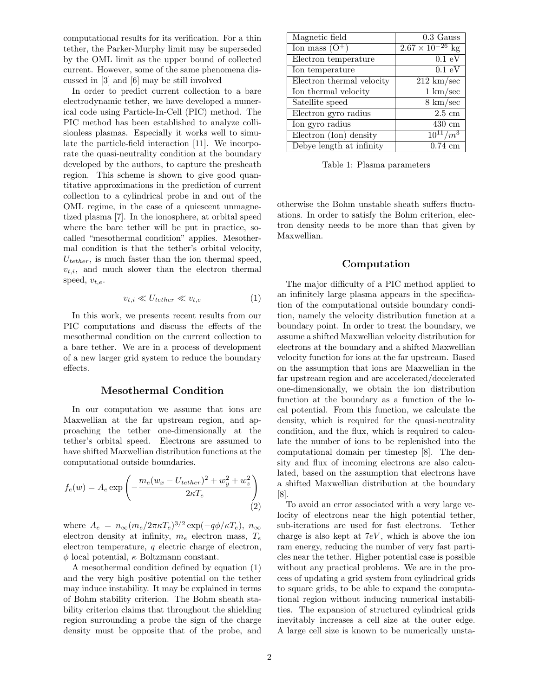computational results for its verification. For a thin tether, the Parker-Murphy limit may be superseded by the OML limit as the upper bound of collected current. However, some of the same phenomena discussed in [3] and [6] may be still involved

In order to predict current collection to a bare electrodynamic tether, we have developed a numerical code using Particle-In-Cell (PIC) method. The PIC method has been established to analyze collisionless plasmas. Especially it works well to simulate the particle-field interaction [11]. We incorporate the quasi-neutrality condition at the boundary developed by the authors, to capture the presheath region. This scheme is shown to give good quantitative approximations in the prediction of current collection to a cylindrical probe in and out of the OML regime, in the case of a quiescent unmagnetized plasma [7]. In the ionosphere, at orbital speed where the bare tether will be put in practice, socalled "mesothermal condition" applies. Mesothermal condition is that the tether's orbital velocity,  $U_{tether}$ , is much faster than the ion thermal speed,  $v_{t,i}$ , and much slower than the electron thermal speed,  $v_{t,e}$ .

$$
v_{t,i} \ll U_{tether} \ll v_{t,e} \tag{1}
$$

In this work, we presents recent results from our PIC computations and discuss the effects of the mesothermal condition on the current collection to a bare tether. We are in a process of development of a new larger grid system to reduce the boundary effects.

## **Mesothermal Condition**

In our computation we assume that ions are Maxwellian at the far upstream region, and approaching the tether one-dimensionally at the tether's orbital speed. Electrons are assumed to have shifted Maxwellian distribution functions at the computational outside boundaries.

$$
f_e(w) = A_e \exp\left(-\frac{m_e(w_x - U_{tether})^2 + w_y^2 + w_z^2}{2\kappa T_e}\right)
$$
\n(2)

where  $A_e = n_{\infty} (m_e/2\pi\kappa T_e)^{3/2} \exp(-q\phi/\kappa T_e), n_{\infty}$ electron density at infinity,  $m_e$  electron mass,  $T_e$ electron temperature, q electric charge of electron,  $\phi$  local potential,  $\kappa$  Boltzmann constant.

A mesothermal condition defined by equation (1) and the very high positive potential on the tether may induce instability. It may be explained in terms of Bohm stability criterion. The Bohm sheath stability criterion claims that throughout the shielding region surrounding a probe the sign of the charge density must be opposite that of the probe, and

| Magnetic field            | $0.3$ Gauss                      |
|---------------------------|----------------------------------|
| Ion mass $(O+)$           | $2.67 \times 10^{-26}$<br>$\log$ |
| Electron temperature      | $0.1\ \mathrm{eV}$               |
| Ion temperature           | 0.1 eV                           |
| Electron thermal velocity | $212 \text{ km/sec}$             |
| Ion thermal velocity      | $1 \text{ km/sec}$               |
| Satellite speed           | $8 \text{ km/sec}$               |
| Electron gyro radius      | $2.5 \text{ cm}$                 |
| Ion gyro radius           | $430 \text{ cm}$                 |
| Electron (Ion) density    | $\sqrt{m^3}$<br>$10^{11}$        |
| Debye length at infinity  | $0.74 \text{ cm}$                |

Table 1: Plasma parameters

otherwise the Bohm unstable sheath suffers fluctuations. In order to satisfy the Bohm criterion, electron density needs to be more than that given by Maxwellian.

#### **Computation**

The major difficulty of a PIC method applied to an infinitely large plasma appears in the specification of the computational outside boundary condition, namely the velocity distribution function at a boundary point. In order to treat the boundary, we assume a shifted Maxwellian velocity distribution for electrons at the boundary and a shifted Maxwellian velocity function for ions at the far upstream. Based on the assumption that ions are Maxwellian in the far upstream region and are accelerated/decelerated one-dimensionally, we obtain the ion distribution function at the boundary as a function of the local potential. From this function, we calculate the density, which is required for the quasi-neutrality condition, and the flux, which is required to calculate the number of ions to be replenished into the computational domain per timestep [8]. The density and flux of incoming electrons are also calculated, based on the assumption that electrons have a shifted Maxwellian distribution at the boundary [8].

To avoid an error associated with a very large velocity of electrons near the high potential tether, sub-iterations are used for fast electrons. Tether charge is also kept at  $7eV$ , which is above the ion ram energy, reducing the number of very fast particles near the tether. Higher potential case is possible without any practical problems. We are in the process of updating a grid system from cylindrical grids to square grids, to be able to expand the computational region without inducing numerical instabilities. The expansion of structured cylindrical grids inevitably increases a cell size at the outer edge. A large cell size is known to be numerically unsta-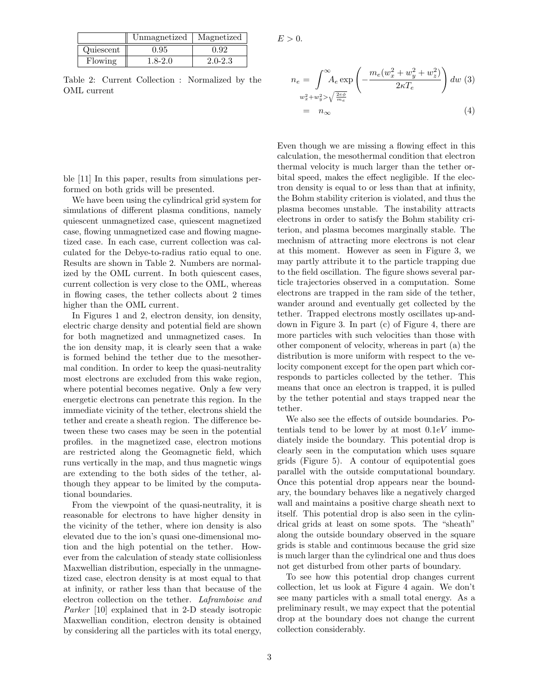|           | Unmagnetized | Magnetized  |
|-----------|--------------|-------------|
| Quiescent | 0.95         | 0.92        |
| Flowing   | 1.8-2.0      | $2.0 - 2.3$ |

Table 2: Current Collection : Normalized by the OML current

 $E > 0$ .

$$
n_e = \int_{w_x^2 + w_y^2 > \sqrt{\frac{2\epsilon\phi}{m_e}}}^{\infty} \left( -\frac{m_e(w_x^2 + w_y^2 + w_z^2)}{2\kappa T_e} \right) dw \tag{3}
$$

$$
= n_\infty \tag{4}
$$

ble [11] In this paper, results from simulations performed on both grids will be presented.

We have been using the cylindrical grid system for simulations of different plasma conditions, namely quiescent unmagnetized case, quiescent magnetized case, flowing unmagnetized case and flowing magnetized case. In each case, current collection was calculated for the Debye-to-radius ratio equal to one. Results are shown in Table 2. Numbers are normalized by the OML current. In both quiescent cases, current collection is very close to the OML, whereas in flowing cases, the tether collects about 2 times higher than the OML current.

In Figures 1 and 2, electron density, ion density, electric charge density and potential field are shown for both magnetized and unmagnetized cases. In the ion density map, it is clearly seen that a wake is formed behind the tether due to the mesothermal condition. In order to keep the quasi-neutrality most electrons are excluded from this wake region, where potential becomes negative. Only a few very energetic electrons can penetrate this region. In the immediate vicinity of the tether, electrons shield the tether and create a sheath region. The difference between these two cases may be seen in the potential profiles. in the magnetized case, electron motions are restricted along the Geomagnetic field, which runs vertically in the map, and thus magnetic wings are extending to the both sides of the tether, although they appear to be limited by the computational boundaries.

From the viewpoint of the quasi-neutrality, it is reasonable for electrons to have higher density in the vicinity of the tether, where ion density is also elevated due to the ion's quasi one-dimensional motion and the high potential on the tether. However from the calculation of steady state collisionless Maxwellian distribution, especially in the unmagnetized case, electron density is at most equal to that at infinity, or rather less than that because of the electron collection on the tether. Laframboise and Parker [10] explained that in 2-D steady isotropic Maxwellian condition, electron density is obtained by considering all the particles with its total energy, Even though we are missing a flowing effect in this calculation, the mesothermal condition that electron thermal velocity is much larger than the tether orbital speed, makes the effect negligible. If the electron density is equal to or less than that at infinity, the Bohm stability criterion is violated, and thus the plasma becomes unstable. The instability attracts electrons in order to satisfy the Bohm stability criterion, and plasma becomes marginally stable. The mechnism of attracting more electrons is not clear at this moment. However as seen in Figure 3, we may partly attribute it to the particle trapping due to the field oscillation. The figure shows several particle trajectories observed in a computation. Some electrons are trapped in the ram side of the tether, wander around and eventually get collected by the tether. Trapped electrons mostly oscillates up-anddown in Figure 3. In part (c) of Figure 4, there are more particles with such velocities than those with other component of velocity, whereas in part (a) the distribution is more uniform with respect to the velocity component except for the open part which corresponds to particles collected by the tether. This means that once an electron is trapped, it is pulled by the tether potential and stays trapped near the tether.

We also see the effects of outside boundaries. Potentials tend to be lower by at most  $0.1eV$  immediately inside the boundary. This potential drop is clearly seen in the computation which uses square grids (Figure 5). A contour of equipotential goes parallel with the outside computational boundary. Once this potential drop appears near the boundary, the boundary behaves like a negatively charged wall and maintains a positive charge sheath next to itself. This potential drop is also seen in the cylindrical grids at least on some spots. The "sheath" along the outside boundary observed in the square grids is stable and continuous because the grid size is much larger than the cylindrical one and thus does not get disturbed from other parts of boundary.

To see how this potential drop changes current collection, let us look at Figure 4 again. We don't see many particles with a small total energy. As a preliminary result, we may expect that the potential drop at the boundary does not change the current collection considerably.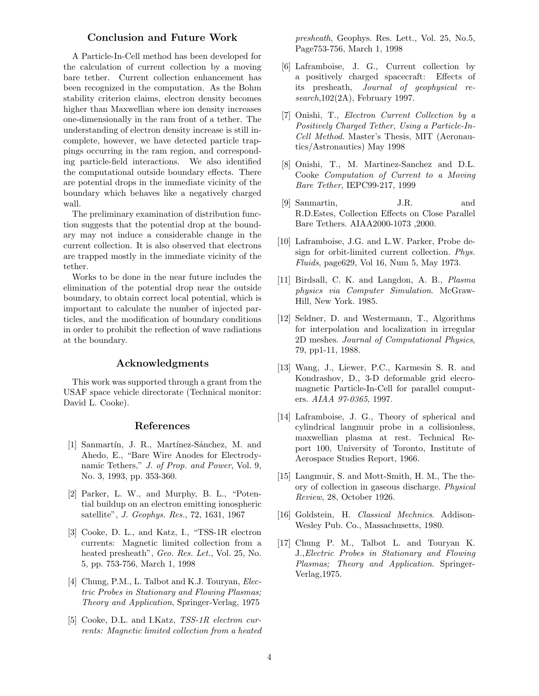## **Conclusion and Future Work**

A Particle-In-Cell method has been developed for the calculation of current collection by a moving bare tether. Current collection enhancement has been recognized in the computation. As the Bohm stability criterion claims, electron density becomes higher than Maxwellian where ion density increases one-dimensionally in the ram front of a tether. The understanding of electron density increase is still incomplete, however, we have detected particle trappings occurring in the ram region, and corresponding particle-field interactions. We also identified the computational outside boundary effects. There are potential drops in the immediate vicinity of the boundary which behaves like a negatively charged wall.

The preliminary examination of distribution function suggests that the potential drop at the boundary may not induce a considerable change in the current collection. It is also observed that electrons are trapped mostly in the immediate vicinity of the tether.

Works to be done in the near future includes the elimination of the potential drop near the outside boundary, to obtain correct local potential, which is important to calculate the number of injected particles, and the modification of boundary conditions in order to prohibit the reflection of wave radiations at the boundary.

#### **Acknowledgments**

This work was supported through a grant from the USAF space vehicle directorate (Technical monitor: David L. Cooke).

#### **References**

- [1] Sanmartín, J. R., Martínez-Sánchez, M. and Ahedo, E., "Bare Wire Anodes for Electrodynamic Tethers," J. of Prop. and Power, Vol. 9, No. 3, 1993, pp. 353-360.
- [2] Parker, L. W., and Murphy, B. L., "Potential buildup on an electron emitting ionospheric satellite", J. Geophys. Res., 72, 1631, 1967
- [3] Cooke, D. L., and Katz, I., "TSS-1R electron currents: Magnetic limited collection from a heated presheath", Geo. Res. Let., Vol. 25, No. 5, pp. 753-756, March 1, 1998
- [4] Chung, P.M., L. Talbot and K.J. Touryan, Electric Probes in Stationary and Flowing Plasmas; Theory and Application, Springer-Verlag, 1975
- [5] Cooke, D.L. and I.Katz, *TSS-1R electron cur*rents: Magnetic limited collection from a heated

presheath, Geophys. Res. Lett., Vol. 25, No.5, Page753-756, March 1, 1998

- [6] Laframboise, J. G., Current collection by a positively charged spacecraft: Effects of its presheath, Journal of geophysical research,102(2A), February 1997.
- [7] Onishi, T., Electron Current Collection by a Positively Charged Tether, Using a Particle-In-Cell Method. Master's Thesis, MIT (Aeronautics/Astronautics) May 1998
- [8] Onishi, T., M. Martinez-Sanchez and D.L. Cooke Computation of Current to a Moving Bare Tether, IEPC99-217, 1999
- [9] Sanmartin, J.R. and R.D.Estes, Collection Effects on Close Parallel Bare Tethers. AIAA2000-1073 ,2000.
- [10] Laframboise, J.G. and L.W. Parker, Probe design for orbit-limited current collection. Phys. Fluids, page629, Vol 16, Num 5, May 1973.
- [11] Birdsall, C. K. and Langdon, A. B., Plasma physics via Computer Simulation. McGraw-Hill, New York. 1985.
- [12] Seldner, D. and Westermann, T., Algorithms for interpolation and localization in irregular 2D meshes. Journal of Computational Physics, 79, pp1-11, 1988.
- [13] Wang, J., Liewer, P.C., Karmesin S. R. and Kondrashov, D., 3-D deformable grid elecromagnetic Particle-In-Cell for parallel computers. AIAA 97-0365, 1997.
- [14] Laframboise, J. G., Theory of spherical and cylindrical langmuir probe in a collisionless, maxwellian plasma at rest. Technical Report 100, University of Toronto, Institute of Aerospace Studies Report, 1966.
- [15] Langmuir, S. and Mott-Smith, H. M., The theory of collection in gaseous discharge. Physical Review, 28, October 1926.
- [16] Goldstein, H. Classical Mechnics. Addison-Wesley Pub. Co., Massachusetts, 1980.
- [17] Chung P. M., Talbot L. and Touryan K. J.,Electric Probes in Stationary and Flowing Plasmas; Theory and Application. Springer-Verlag,1975.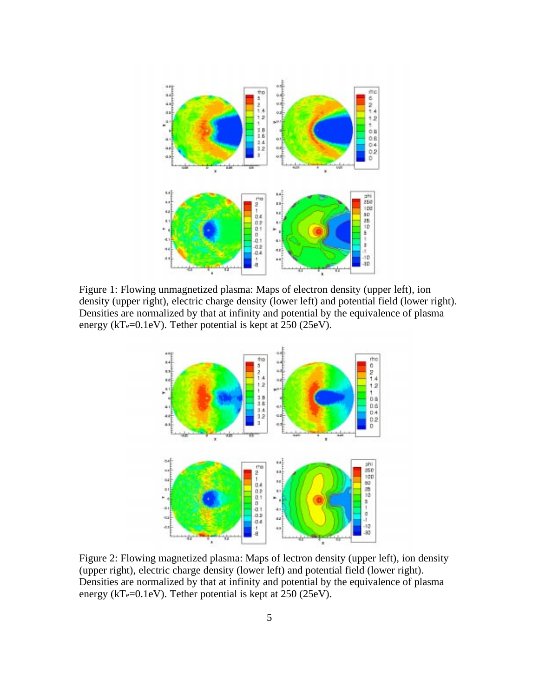

Figure 1: Flowing unmagnetized plasma: Maps of electron density (upper left), ion density (upper right), electric charge density (lower left) and potential field (lower right). Densities are normalized by that at infinity and potential by the equivalence of plasma energy (kT $_{e}$ =0.1eV). Tether potential is kept at 250 (25eV).



Figure 2: Flowing magnetized plasma: Maps of lectron density (upper left), ion density (upper right), electric charge density (lower left) and potential field (lower right). Densities are normalized by that at infinity and potential by the equivalence of plasma energy (kTe=0.1eV). Tether potential is kept at 250 (25eV).